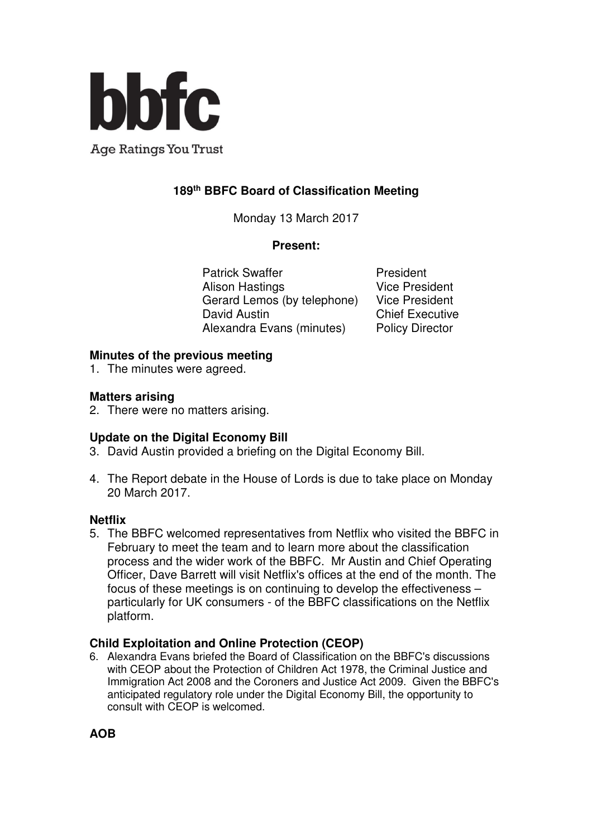

**Age Ratings You Trust** 

# **189th BBFC Board of Classification Meeting**

Monday 13 March 2017

#### **Present:**

Patrick Swaffer **President** Alison Hastings **Vice President** Gerard Lemos (by telephone) Vice President David Austin **Chief Executive** Alexandra Evans (minutes) Policy Director

### **Minutes of the previous meeting**

1. The minutes were agreed.

## **Matters arising**

2. There were no matters arising.

### **Update on the Digital Economy Bill**

- 3. David Austin provided a briefing on the Digital Economy Bill.
- 4. The Report debate in the House of Lords is due to take place on Monday 20 March 2017.

### **Netflix**

5. The BBFC welcomed representatives from Netflix who visited the BBFC in February to meet the team and to learn more about the classification process and the wider work of the BBFC. Mr Austin and Chief Operating Officer, Dave Barrett will visit Netflix's offices at the end of the month. The focus of these meetings is on continuing to develop the effectiveness – particularly for UK consumers - of the BBFC classifications on the Netflix platform.

### **Child Exploitation and Online Protection (CEOP)**

6. Alexandra Evans briefed the Board of Classification on the BBFC's discussions with CEOP about the Protection of Children Act 1978, the Criminal Justice and Immigration Act 2008 and the Coroners and Justice Act 2009. Given the BBFC's anticipated regulatory role under the Digital Economy Bill, the opportunity to consult with CEOP is welcomed.